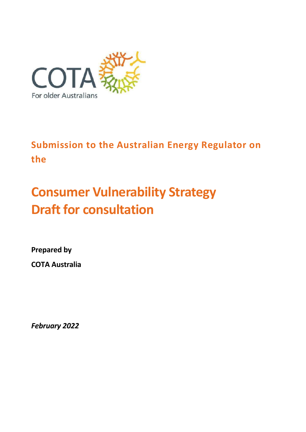

**Submission to the Australian Energy Regulator on the**

# **Consumer Vulnerability Strategy Draft for consultation**

**Prepared by COTA Australia**

*February 2022*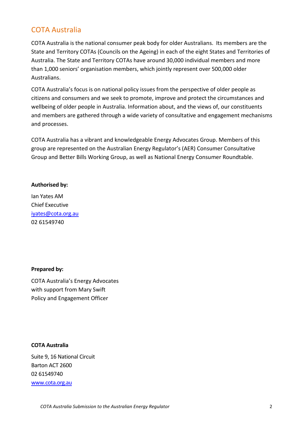## COTA Australia

COTA Australia is the national consumer peak body for older Australians. Its members are the State and Territory COTAs (Councils on the Ageing) in each of the eight States and Territories of Australia. The State and Territory COTAs have around 30,000 individual members and more than 1,000 seniors' organisation members, which jointly represent over 500,000 older Australians.

COTA Australia's focus is on national policy issues from the perspective of older people as citizens and consumers and we seek to promote, improve and protect the circumstances and wellbeing of older people in Australia. Information about, and the views of, our constituents and members are gathered through a wide variety of consultative and engagement mechanisms and processes.

COTA Australia has a vibrant and knowledgeable Energy Advocates Group. Members of this group are represented on the Australian Energy Regulator's (AER) Consumer Consultative Group and Better Bills Working Group, as well as National Energy Consumer Roundtable.

#### **Authorised by:**

Ian Yates AM Chief Executive [iyates@cota.org.au](mailto:iyates@cota.org.au)  02 61549740

#### **Prepared by:**

COTA Australia's Energy Advocates with support from Mary Swift Policy and Engagement Officer

#### **COTA Australia**

Suite 9, 16 National Circuit Barton ACT 2600 02 61549740 [www.cota.org.au](http://www.cota.org.a/)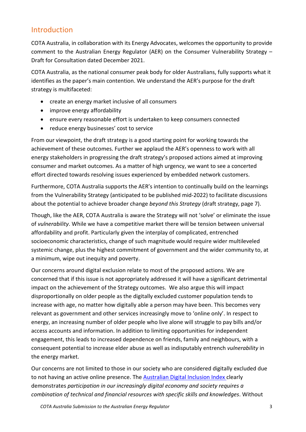### Introduction

COTA Australia, in collaboration with its Energy Advocates, welcomes the opportunity to provide comment to the Australian Energy Regulator (AER) on the Consumer Vulnerability Strategy – Draft for Consultation dated December 2021.

COTA Australia, as the national consumer peak body for older Australians, fully supports what it identifies as the paper's main contention. We understand the AER's purpose for the draft strategy is multifaceted:

- create an energy market inclusive of all consumers
- improve energy affordability
- ensure every reasonable effort is undertaken to keep consumers connected
- reduce energy businesses' cost to service

From our viewpoint, the draft strategy is a good starting point for working towards the achievement of these outcomes. Further we applaud the AER's openness to work with all energy stakeholders in progressing the draft strategy's proposed actions aimed at improving consumer and market outcomes. As a matter of high urgency, we want to see a concerted effort directed towards resolving issues experienced by embedded network customers.

Furthermore, COTA Australia supports the AER's intention to continually build on the learnings from the Vulnerability Strategy (anticipated to be published mid-2022) to facilitate discussions about the potential to achieve broader change *beyond this Strategy* (draft strategy, page 7).

Though, like the AER, COTA Australia is aware the Strategy will not 'solve' or eliminate the issue of *vulnerability*. While we have a competitive market there will be tension between universal affordability and profit. Particularly given the interplay of complicated, entrenched socioeconomic characteristics, change of such magnitude would require wider multileveled systemic change, plus the highest commitment of government and the wider community to, at a minimum, wipe out inequity and poverty.

Our concerns around digital exclusion relate to most of the proposed actions. We are concerned that if this issue is not appropriately addressed it will have a significant detrimental impact on the achievement of the Strategy outcomes. We also argue this will impact disproportionally on older people as the digitally excluded customer population tends to increase with age, no matter how digitally able a person may have been. This becomes very relevant as government and other services increasingly move to 'online only'. In respect to energy, an increasing number of older people who live alone will struggle to pay bills and/or access accounts and information. In addition to limiting opportunities for independent engagement, this leads to increased dependence on friends, family and neighbours, with a consequent potential to increase elder abuse as well as indisputably entrench *vulnerability* in the energy market.

Our concerns are not limited to those in our society who are considered digitally excluded due to not having an active online presence. The **Australian Digital Inclusion Index** clearly demonstrates *participation in our increasingly digital economy and society requires a combination of technical and financial resources with specific skills and knowledges*. Without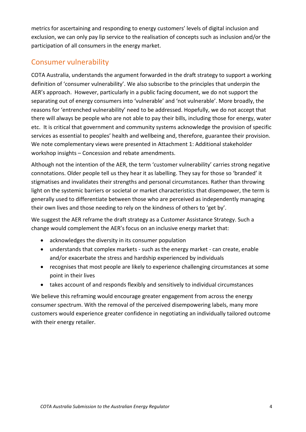metrics for ascertaining and responding to energy customers' levels of digital inclusion and exclusion, we can only pay lip service to the realisation of concepts such as inclusion and/or the participation of all consumers in the energy market.

## Consumer vulnerability

COTA Australia, understands the argument forwarded in the draft strategy to support a working definition of 'consumer vulnerability'. We also subscribe to the principles that underpin the AER's approach. However, particularly in a public facing document, we do not support the separating out of energy consumers into 'vulnerable' and 'not vulnerable'. More broadly, the reasons for 'entrenched vulnerability' need to be addressed. Hopefully, we do not accept that there will always be people who are not able to pay their bills, including those for energy, water etc. It is critical that government and community systems acknowledge the provision of specific services as essential to peoples' health and wellbeing and, therefore, guarantee their provision. We note complementary views were presented in Attachment 1: Additional stakeholder workshop insights – Concession and rebate amendments.

Although not the intention of the AER, the term 'customer vulnerability' carries strong negative connotations. Older people tell us they hear it as labelling. They say for those so 'branded' it stigmatises and invalidates their strengths and personal circumstances. Rather than throwing light on the systemic barriers or societal or market characteristics that disempower, the term is generally used to differentiate between those who are perceived as independently managing their own lives and those needing to rely on the kindness of others to 'get by'.

We suggest the AER reframe the draft strategy as a Customer Assistance Strategy. Such a change would complement the AER's focus on an inclusive energy market that:

- acknowledges the diversity in its consumer population
- understands that complex markets such as the energy market can create, enable and/or exacerbate the stress and hardship experienced by individuals
- recognises that most people are likely to experience challenging circumstances at some point in their lives
- takes account of and responds flexibly and sensitively to individual circumstances

We believe this reframing would encourage greater engagement from across the energy consumer spectrum. With the removal of the perceived disempowering labels, many more customers would experience greater confidence in negotiating an individually tailored outcome with their energy retailer.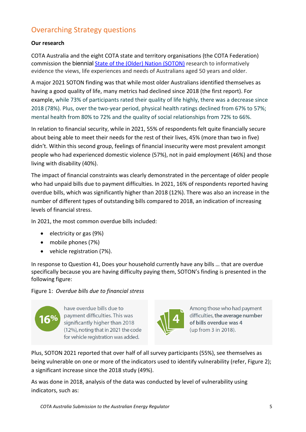# Overarching Strategy questions

#### **Our research**

COTA Australia and the eight COTA state and territory organisations (the COTA Federation) commission the biennial [State of the \(Older\) Nation \(SOTON\)](https://www.cota.org.au/policy/state-of-the-older-nation/) research to informatively evidence the views, life experiences and needs of Australians aged 50 years and older.

A major 2021 SOTON finding was that while most older Australians identified themselves as having a good quality of life, many metrics had declined since 2018 (the first report). For example, while 73% of participants rated their quality of life highly, there was a decrease since 2018 (78%). Plus, over the two-year period, physical health ratings declined from 67% to 57%; mental health from 80% to 72% and the quality of social relationships from 72% to 66%.

In relation to financial security, while in 2021, 55% of respondents felt quite financially secure about being able to meet their needs for the rest of their lives, 45% (more than two in five) didn't. Within this second group, feelings of financial insecurity were most prevalent amongst people who had experienced domestic violence (57%), not in paid employment (46%) and those living with disability (40%).

The impact of financial constraints was clearly demonstrated in the percentage of older people who had unpaid bills due to payment difficulties. In 2021, 16% of respondents reported having overdue bills, which was significantly higher than 2018 (12%). There was also an increase in the number of different types of outstanding bills compared to 2018, an indication of increasing levels of financial stress.

In 2021, the most common overdue bills included:

- electricity or gas (9%)
- mobile phones (7%)
- vehicle registration (7%).

In response to Question 41, Does your household currently have any bills … that are overdue specifically because you are having difficulty paying them, SOTON's finding is presented in the following figure:

#### Figure 1: *Overdue bills due to financial stress*



have overdue bills due to payment difficulties. This was significantly higher than 2018 (12%), noting that in 2021 the code for vehicle registration was added.



Among those who had payment difficulties, the average number of bills overdue was 4 (up from 3 in 2018).

Plus, SOTON 2021 reported that over half of all survey participants (55%), see themselves as being vulnerable on one or more of the indicators used to identify vulnerability (refer, Figure 2); a significant increase since the 2018 study (49%).

As was done in 2018, analysis of the data was conducted by level of vulnerability using indicators, such as:

*COTA Australia Submission to the Australian Energy Regulator* 5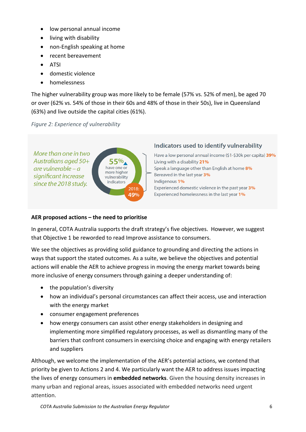- low personal annual income
- living with disability
- non-English speaking at home
- recent bereavement
- ATSI
- domestic violence
- homelessness

The higher vulnerability group was more likely to be female (57% vs. 52% of men), be aged 70 or over (62% vs. 54% of those in their 60s and 48% of those in their 50s), live in Queensland (63%) and live outside the capital cities (61%).

#### *Figure 2: Experience of vulnerability*



#### Indicators used to identify vulnerability

Have a low personal annual income (\$1-\$30k per capita) 39% Living with a disability 21% Speak a language other than English at home 8% Bereaved in the last year 3% Indigenous 1% Experienced domestic violence in the past year 3% Experienced homelessness in the last year 1%

#### **AER proposed actions – the need to prioritise**

In general, COTA Australia supports the draft strategy's five objectives. However, we suggest that Objective 1 be reworded to read Improve assistance to consumers.

We see the objectives as providing solid guidance to grounding and directing the actions in ways that support the stated outcomes. As a suite, we believe the objectives and potential actions will enable the AER to achieve progress in moving the energy market towards being more inclusive of energy consumers through gaining a deeper understanding of:

- the population's diversity
- how an individual's personal circumstances can affect their access, use and interaction with the energy market
- consumer engagement preferences
- how energy consumers can assist other energy stakeholders in designing and implementing more simplified regulatory processes, as well as dismantling many of the barriers that confront consumers in exercising choice and engaging with energy retailers and suppliers

Although, we welcome the implementation of the AER's potential actions, we contend that priority be given to Actions 2 and 4. We particularly want the AER to address issues impacting the lives of energy consumers in **embedded networks**. Given the housing density increases in many urban and regional areas, issues associated with embedded networks need urgent attention.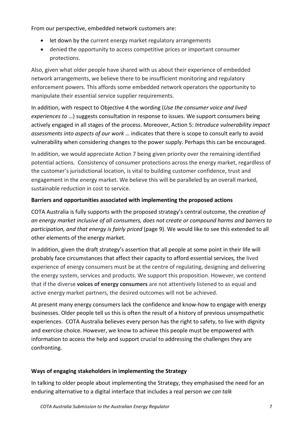From our perspective, embedded network customers are:

- let down by the current energy market regulatory arrangements
- denied the opportunity to access competitive prices or important consumer protections.

Also, given what older people have shared with us about their experience of embedded network arrangements, we believe there to be insufficient monitoring and regulatory enforcement powers. This affords some embedded network operators the opportunity to manipulate their essential service supplier requirements.

In addition, with respect to Objective 4 the wording (*Use the consumer voice and lived experiences to* …) suggests consultation in response to issues. We support consumers being actively engaged in all stages of the process. Moreover, Action 5: *Introduce vulnerability impact assessments into aspects of our work* … indicates that there is scope to consult early to avoid vulnerability when considering changes to the power supply. Perhaps this can be encouraged.

In addition, we would appreciate Action 7 being given priority over the remaining identified potential actions. Consistency of consumer protections across the energy market, regardless of the customer's jurisdictional location, is vital to building customer confidence, trust and engagement in the energy market. We believe this will be paralleled by an overall marked, sustainable reduction in cost to service.

#### **Barriers and opportunities associated with implementing the proposed actions**

COTA Australia is fully supports with the proposed strategy's central outcome, the *creation of an energy market inclusive of all consumers, does not create or compound harms and barriers to participation, and that energy is fairly priced* (page 9). We would like to see this extended to all other elements of the energy market.

In addition, given the draft strategy's assertion that all people at some point in their life will probably face circumstances that affect their capacity to afford essential services*,* the lived experience of energy consumers must be at the centre of regulating, designing and delivering the energy system, services and products. We support this proposition. However, we contend that if the diverse **voices of energy consumers** are not attentively listened to as equal and active energy market partners, the desired outcomes will not be achieved.

At present many energy consumers lack the confidence and know-how to engage with energy businesses. Older people tell us this is often the result of a history of previous unsympathetic experiences. COTA Australia believes every person has the right to safety, to live with dignity and exercise choice. However, we know to achieve this people must be empowered with information to access the help and support crucial to addressing the challenges they are confronting.

#### **Ways of engaging stakeholders in implementing the Strategy**

In talking to older people about implementing the Strategy, they emphasised the need for an enduring alternative to a digital interface that includes a real person *we can talk*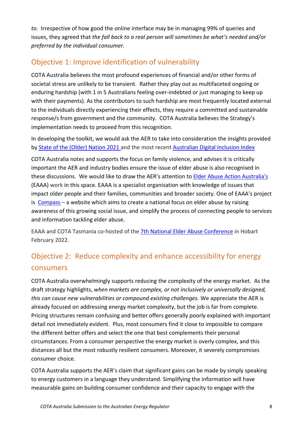*to*. Irrespective of how good the online interface may be in managing 99% of queries and issues, they agreed that *the fall back to a real person will sometimes be what's needed and/or preferred by the individual consumer.*

# Objective 1: Improve identification of vulnerability

COTA Australia believes the most profound experiences of financial and/or other forms of societal stress are unlikely to be transient. Rather they play out as multifaceted ongoing or enduring hardship (with 1 in 5 Australians feeling over-indebted or just managing to keep up with their payments). As the contributors to such hardship are most frequently located external to the individuals directly experiencing their effects, they require a committed and sustainable response/s from government and the community. COTA Australia believes the Strategy's implementation needs to proceed from this recognition.

In developing the toolkit, we would ask the AER to take into consideration the insights provided by [State of the \(Older\) Nation 2021 a](https://www.cota.org.au/policy/state-of-the-older-nation/)nd the most recent [Australian Digital Inclusion Index](https://www.digitalinclusionindex.org.au/what-is-digital-inclusion/) 

COTA Australia notes and supports the focus on family violence, and advises it is critically important the AER and industry bodies ensure the issue of elder abuse is also recognised in these discussions. We would like to draw the AER's attention to [Elder Abuse Action Australia's](https://eaaa.org.au/) (EAAA) work in this space. EAAA is a specialist organisation with knowledge of issues that impact older people and their families, communities and broader society. One of EAAA's project is [Compass](https://www.compass.info/) – a website which aims to create a national focus on elder abuse by raising awareness of this growing social issue, and simplify the process of connecting people to services and information tackling elder abuse.

EAAA and COTA Tasmania co-hosted of the [7th National Elder Abuse Conference](https://www.cotatas.org.au/programs/elder-abuse-prevention/national-elder-abuse-conference-2022/) in Hobart February 2022.

# Objective 2: Reduce complexity and enhance accessibility for energy consumers

COTA Australia overwhelmingly supports reducing the complexity of the energy market. As the draft strategy highlights, *when markets are complex, or not inclusively or universally designed, this can cause new vulnerabilities or compound existing challenges.* We appreciate the AER is already focused on addressing energy market complexity, but the job is far from complete. Pricing structures remain confusing and better offers generally poorly explained with important detail not immediately evident. Plus, most consumers find it close to impossible to compare the different better offers and select the one that best complements their personal circumstances. From a consumer perspective the energy market is overly complex, and this distances all but the most robustly resilient consumers. Moreover, it severely compromises consumer choice.

COTA Australia supports the AER's claim that significant gains can be made by simply speaking to energy customers in a language they understand. Simplifying the information will have measurable gains on building consumer confidence and their capacity to engage with the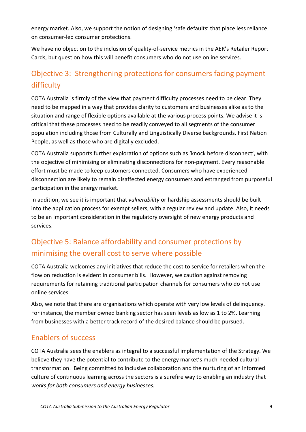energy market. Also, we support the notion of designing 'safe defaults' that place less reliance on consumer-led consumer protections.

We have no objection to the inclusion of quality-of-service metrics in the AER's Retailer Report Cards, but question how this will benefit consumers who do not use online services.

# Objective 3: Strengthening protections for consumers facing payment difficulty

COTA Australia is firmly of the view that payment difficulty processes need to be clear. They need to be mapped in a way that provides clarity to customers and businesses alike as to the situation and range of flexible options available at the various process points. We advise it is critical that these processes need to be readily conveyed to all segments of the consumer population including those from Culturally and Linguistically Diverse backgrounds, First Nation People, as well as those who are digitally excluded.

COTA Australia supports further exploration of options such as 'knock before disconnect', with the objective of minimising or eliminating disconnections for non-payment. Every reasonable effort must be made to keep customers connected. Consumers who have experienced disconnection are likely to remain disaffected energy consumers and estranged from purposeful participation in the energy market.

In addition, we see it is important that *vulnerability* or hardship assessments should be built into the application process for exempt sellers, with a regular review and update. Also, it needs to be an important consideration in the regulatory oversight of new energy products and services.

# Objective 5: Balance affordability and consumer protections by minimising the overall cost to serve where possible

COTA Australia welcomes any initiatives that reduce the cost to service for retailers when the flow on reduction is evident in consumer bills. However, we caution against removing requirements for retaining traditional participation channels for consumers who do not use online services.

Also, we note that there are organisations which operate with very low levels of delinquency. For instance, the member owned banking sector has seen levels as low as 1 to 2%. Learning from businesses with a better track record of the desired balance should be pursued.

# Enablers of success

COTA Australia sees the enablers as integral to a successful implementation of the Strategy. We believe they have the potential to contribute to the energy market's much-needed cultural transformation. Being committed to inclusive collaboration and the nurturing of an informed culture of continuous learning across the sectors is a surefire way to enabling an industry that *works for both consumers and energy businesses.*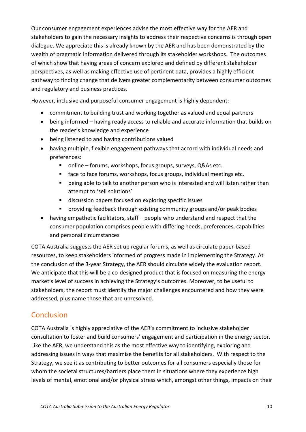Our consumer engagement experiences advise the most effective way for the AER and stakeholders to gain the necessary insights to address their respective concerns is through open dialogue. We appreciate this is already known by the AER and has been demonstrated by the wealth of pragmatic information delivered through its stakeholder workshops. The outcomes of which show that having areas of concern explored and defined by different stakeholder perspectives, as well as making effective use of pertinent data, provides a highly efficient pathway to finding change that delivers greater complementarity between consumer outcomes and regulatory and business practices.

However, inclusive and purposeful consumer engagement is highly dependent:

- commitment to building trust and working together as valued and equal partners
- being informed having ready access to reliable and accurate information that builds on the reader's knowledge and experience
- being listened to and having contributions valued
- having multiple, flexible engagement pathways that accord with individual needs and preferences:
	- online forums, workshops, focus groups, surveys, Q&As etc.
	- face to face forums, workshops, focus groups, individual meetings etc.
	- being able to talk to another person who is interested and will listen rather than attempt to 'sell solutions'
	- discussion papers focused on exploring specific issues
	- providing feedback through existing community groups and/or peak bodies
- having empathetic facilitators, staff people who understand and respect that the consumer population comprises people with differing needs, preferences, capabilities and personal circumstances

COTA Australia suggests the AER set up regular forums, as well as circulate paper-based resources, to keep stakeholders informed of progress made in implementing the Strategy. At the conclusion of the 3-year Strategy, the AER should circulate widely the evaluation report. We anticipate that this will be a co-designed product that is focused on measuring the energy market's level of success in achieving the Strategy's outcomes. Moreover, to be useful to stakeholders, the report must identify the major challenges encountered and how they were addressed, plus name those that are unresolved.

## **Conclusion**

COTA Australia is highly appreciative of the AER's commitment to inclusive stakeholder consultation to foster and build consumers' engagement and participation in the energy sector. Like the AER, we understand this as the most effective way to identifying, exploring and addressing issues in ways that maximise the benefits for all stakeholders. With respect to the Strategy, we see it as contributing to better outcomes for all consumers especially those for whom the societal structures/barriers place them in situations where they experience high levels of mental, emotional and/or physical stress which, amongst other things, impacts on their